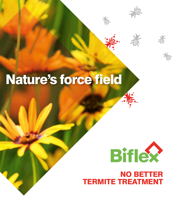# Nature's force field



抱

NO BETTER TERMITE TREATMENT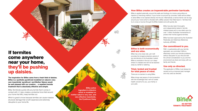## If termites come anywhere near your home, they'll be pushing up daisies.

**The inspiration for Biflex came from a fresh field of daisies. Biflex is a synthetic pyrethroid modelled on nature's very own insecticide 'pyrethrum' and Mother Nature would be well pleased with our creation… a repellent termite treatment that is absolutely effective and simple.**

Biflex Termiticide quickly kills any termite that it comes in contact with it. It also creates a protective force field around your home that WILL keep termites out.

Which is great to know because termites can cause massive structural damage that is both expensive and extremely disruptive to your home life.

**Biflex active ingredient is bifentrin which is modelled on mother nature's very own, and very effective insecticide, the Pyrethrum Daisy**

#### How Biflex creates an impenetrable perimeter barricade.

Biflex is applied externally, around the walls and footings of a home using either an injection or trenching method. If your home is surround by concrete, holes will be drilled to allow Biflex to be injected directly into the soil. Alternatively a narrow trench can be dug around your home which is flooded with a Biflex solution then filled back in. Termites that try to cross or burrow through the Biflex treated zone will quickly die.



#### Biflex is both economically and eco wise.

 $\rightarrow$ 

Biflex has a low dose rate, yet it still provides the longest protection period of any termiticide on the Australian market. Biflex is insoluble in the soil, so it stays where it's needed and will not be leached away by rainfall or watering.

#### Tried, tested and trusted for total peace of mind.

There are no barriers to using Biflex.

Biflex brings real peace of mind protection with the knowledge that it will not create health concerns for you, your family or your pets.

Biflex has also been thoroughly and independently tested in termite infested areas and is now relied upon by over 1 million Australian homeowners to protect their homes against termites.

Biflex has been approved by the Australian Pesticides and Veterinary Medicines Authority (APVMA).

#### Our commitment to you.

FMC, in partnership with your termite specialist, are committed 100% to effectively control your termite problems, without disruption to your life and with the utmost consideration to you and the environment we share and enjoy with our family and friends.

#### Use only as directed.

The application of Biflex must always be carried out by a licenced pest manager and only used as directed.